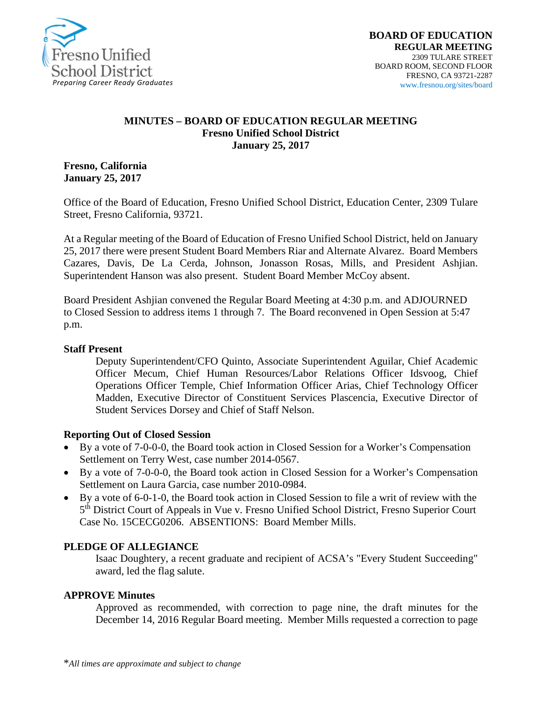

### **MINUTES – BOARD OF EDUCATION REGULAR MEETING Fresno Unified School District January 25, 2017**

**Fresno, California January 25, 2017**

Office of the Board of Education, Fresno Unified School District, Education Center, 2309 Tulare Street, Fresno California, 93721.

At a Regular meeting of the Board of Education of Fresno Unified School District, held on January 25, 2017 there were present Student Board Members Riar and Alternate Alvarez. Board Members Cazares, Davis, De La Cerda, Johnson, Jonasson Rosas, Mills, and President Ashjian. Superintendent Hanson was also present. Student Board Member McCoy absent.

Board President Ashjian convened the Regular Board Meeting at 4:30 p.m. and ADJOURNED to Closed Session to address items 1 through 7. The Board reconvened in Open Session at 5:47 p.m.

### **Staff Present**

Deputy Superintendent/CFO Quinto, Associate Superintendent Aguilar, Chief Academic Officer Mecum, Chief Human Resources/Labor Relations Officer Idsvoog, Chief Operations Officer Temple, Chief Information Officer Arias, Chief Technology Officer Madden, Executive Director of Constituent Services Plascencia, Executive Director of Student Services Dorsey and Chief of Staff Nelson.

### **Reporting Out of Closed Session**

- By a vote of 7-0-0-0, the Board took action in Closed Session for a Worker's Compensation Settlement on Terry West, case number 2014-0567.
- By a vote of 7-0-0-0, the Board took action in Closed Session for a Worker's Compensation Settlement on Laura Garcia, case number 2010-0984.
- By a vote of 6-0-1-0, the Board took action in Closed Session to file a writ of review with the 5<sup>th</sup> District Court of Appeals in Vue v. Fresno Unified School District, Fresno Superior Court Case No. 15CECG0206. ABSENTIONS: Board Member Mills.

### **PLEDGE OF ALLEGIANCE**

Isaac Doughtery, a recent graduate and recipient of ACSA's "Every Student Succeeding" award, led the flag salute.

### **APPROVE Minutes**

Approved as recommended, with correction to page nine, the draft minutes for the December 14, 2016 Regular Board meeting. Member Mills requested a correction to page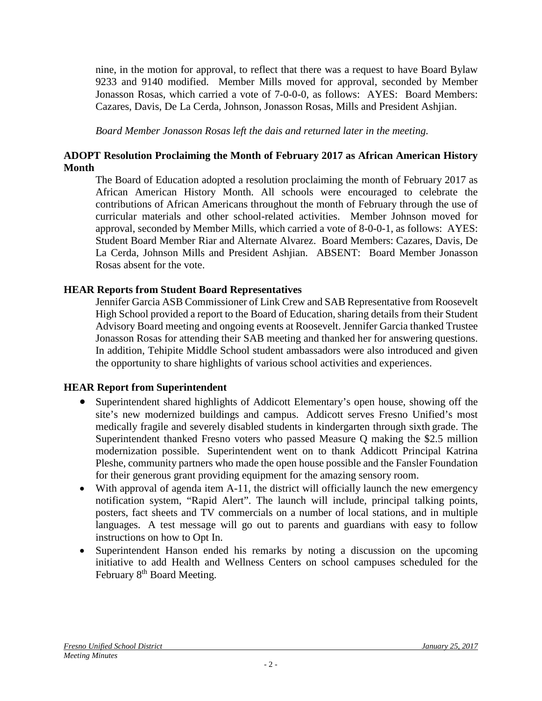nine, in the motion for approval, to reflect that there was a request to have Board Bylaw 9233 and 9140 modified. Member Mills moved for approval, seconded by Member Jonasson Rosas, which carried a vote of 7-0-0-0, as follows: AYES: Board Members: Cazares, Davis, De La Cerda, Johnson, Jonasson Rosas, Mills and President Ashjian.

*Board Member Jonasson Rosas left the dais and returned later in the meeting.*

# **ADOPT Resolution Proclaiming the Month of February 2017 as African American History Month**

The Board of Education adopted a resolution proclaiming the month of February 2017 as African American History Month. All schools were encouraged to celebrate the contributions of African Americans throughout the month of February through the use of curricular materials and other school-related activities. Member Johnson moved for approval, seconded by Member Mills, which carried a vote of 8-0-0-1, as follows: AYES: Student Board Member Riar and Alternate Alvarez. Board Members: Cazares, Davis, De La Cerda, Johnson Mills and President Ashjian. ABSENT: Board Member Jonasson Rosas absent for the vote.

# **HEAR Reports from Student Board Representatives**

Jennifer Garcia ASB Commissioner of Link Crew and SAB Representative from Roosevelt High School provided a report to the Board of Education, sharing details from their Student Advisory Board meeting and ongoing events at Roosevelt. Jennifer Garcia thanked Trustee Jonasson Rosas for attending their SAB meeting and thanked her for answering questions. In addition, Tehipite Middle School student ambassadors were also introduced and given the opportunity to share highlights of various school activities and experiences.

# **HEAR Report from Superintendent**

- Superintendent shared highlights of Addicott Elementary's open house, showing off the site's new modernized buildings and campus. Addicott serves Fresno Unified's most medically fragile and severely disabled students in kindergarten through sixth grade. The Superintendent thanked Fresno voters who passed Measure Q making the \$2.5 million modernization possible. Superintendent went on to thank Addicott Principal Katrina Pleshe, community partners who made the open house possible and the Fansler Foundation for their generous grant providing equipment for the amazing sensory room.
- With approval of agenda item A-11, the district will officially launch the new emergency notification system, "Rapid Alert". The launch will include, principal talking points, posters, fact sheets and TV commercials on a number of local stations, and in multiple languages. A test message will go out to parents and guardians with easy to follow instructions on how to Opt In.
- Superintendent Hanson ended his remarks by noting a discussion on the upcoming initiative to add Health and Wellness Centers on school campuses scheduled for the February 8<sup>th</sup> Board Meeting.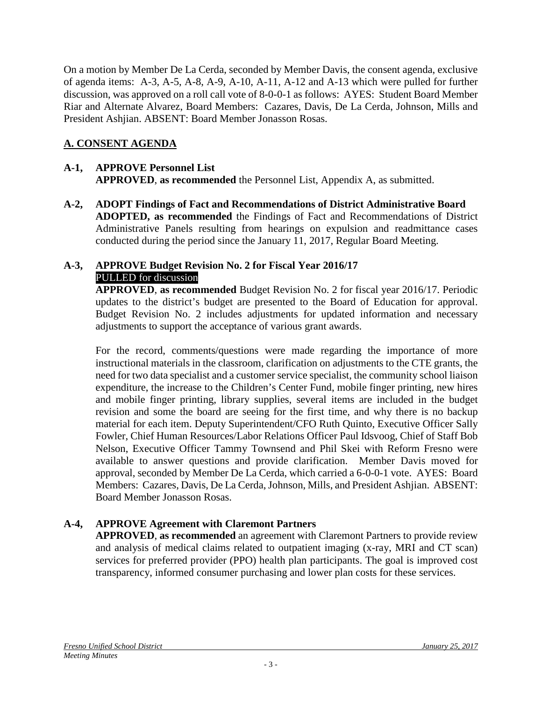On a motion by Member De La Cerda, seconded by Member Davis, the consent agenda, exclusive of agenda items: A-3, A-5, A-8, A-9, A-10, A-11, A-12 and A-13 which were pulled for further discussion, was approved on a roll call vote of 8-0-0-1 as follows: AYES: Student Board Member Riar and Alternate Alvarez, Board Members: Cazares, Davis, De La Cerda, Johnson, Mills and President Ashjian. ABSENT: Board Member Jonasson Rosas.

# **A. CONSENT AGENDA**

## **A-1, APPROVE Personnel List APPROVED**, **as recommended** the Personnel List, Appendix A, as submitted.

**A-2, ADOPT Findings of Fact and Recommendations of District Administrative Board ADOPTED, as recommended** the Findings of Fact and Recommendations of District Administrative Panels resulting from hearings on expulsion and readmittance cases conducted during the period since the January 11, 2017, Regular Board Meeting.

### **A-3, APPROVE Budget Revision No. 2 for Fiscal Year 2016/17** PULLED for discussion

**APPROVED**, **as recommended** Budget Revision No. 2 for fiscal year 2016/17. Periodic updates to the district's budget are presented to the Board of Education for approval. Budget Revision No. 2 includes adjustments for updated information and necessary adjustments to support the acceptance of various grant awards.

For the record, comments/questions were made regarding the importance of more instructional materials in the classroom, clarification on adjustments to the CTE grants, the need for two data specialist and a customer service specialist, the community school liaison expenditure, the increase to the Children's Center Fund, mobile finger printing, new hires and mobile finger printing, library supplies, several items are included in the budget revision and some the board are seeing for the first time, and why there is no backup material for each item. Deputy Superintendent/CFO Ruth Quinto, Executive Officer Sally Fowler, Chief Human Resources/Labor Relations Officer Paul Idsvoog, Chief of Staff Bob Nelson, Executive Officer Tammy Townsend and Phil Skei with Reform Fresno were available to answer questions and provide clarification. Member Davis moved for approval, seconded by Member De La Cerda, which carried a 6-0-0-1 vote. AYES: Board Members: Cazares, Davis, De La Cerda, Johnson, Mills, and President Ashjian. ABSENT: Board Member Jonasson Rosas.

# **A-4, APPROVE Agreement with Claremont Partners**

**APPROVED**, **as recommended** an agreement with Claremont Partners to provide review and analysis of medical claims related to outpatient imaging (x-ray, MRI and CT scan) services for preferred provider (PPO) health plan participants. The goal is improved cost transparency, informed consumer purchasing and lower plan costs for these services.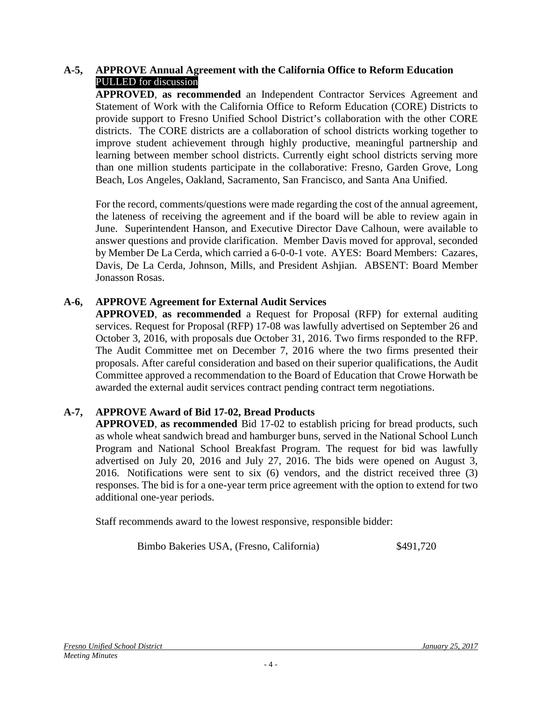## **A-5, APPROVE Annual Agreement with the California Office to Reform Education** PULLED for discussion

**APPROVED**, **as recommended** an Independent Contractor Services Agreement and Statement of Work with the California Office to Reform Education (CORE) Districts to provide support to Fresno Unified School District's collaboration with the other CORE districts. The CORE districts are a collaboration of school districts working together to improve student achievement through highly productive, meaningful partnership and learning between member school districts. Currently eight school districts serving more than one million students participate in the collaborative: Fresno, Garden Grove, Long Beach, Los Angeles, Oakland, Sacramento, San Francisco, and Santa Ana Unified.

For the record, comments/questions were made regarding the cost of the annual agreement, the lateness of receiving the agreement and if the board will be able to review again in June. Superintendent Hanson, and Executive Director Dave Calhoun, were available to answer questions and provide clarification. Member Davis moved for approval, seconded by Member De La Cerda, which carried a 6-0-0-1 vote. AYES: Board Members: Cazares, Davis, De La Cerda, Johnson, Mills, and President Ashjian. ABSENT: Board Member Jonasson Rosas.

# **A-6, APPROVE Agreement for External Audit Services**

**APPROVED**, **as recommended** a Request for Proposal (RFP) for external auditing services. Request for Proposal (RFP) 17-08 was lawfully advertised on September 26 and October 3, 2016, with proposals due October 31, 2016. Two firms responded to the RFP. The Audit Committee met on December 7, 2016 where the two firms presented their proposals. After careful consideration and based on their superior qualifications, the Audit Committee approved a recommendation to the Board of Education that Crowe Horwath be awarded the external audit services contract pending contract term negotiations.

# **A-7, APPROVE Award of Bid 17-02, Bread Products**

**APPROVED**, **as recommended** Bid 17-02 to establish pricing for bread products, such as whole wheat sandwich bread and hamburger buns, served in the National School Lunch Program and National School Breakfast Program. The request for bid was lawfully advertised on July 20, 2016 and July 27, 2016. The bids were opened on August 3, 2016. Notifications were sent to six (6) vendors, and the district received three (3) responses. The bid is for a one-year term price agreement with the option to extend for two additional one-year periods.

Staff recommends award to the lowest responsive, responsible bidder:

Bimbo Bakeries USA, (Fresno, California)  $$491,720$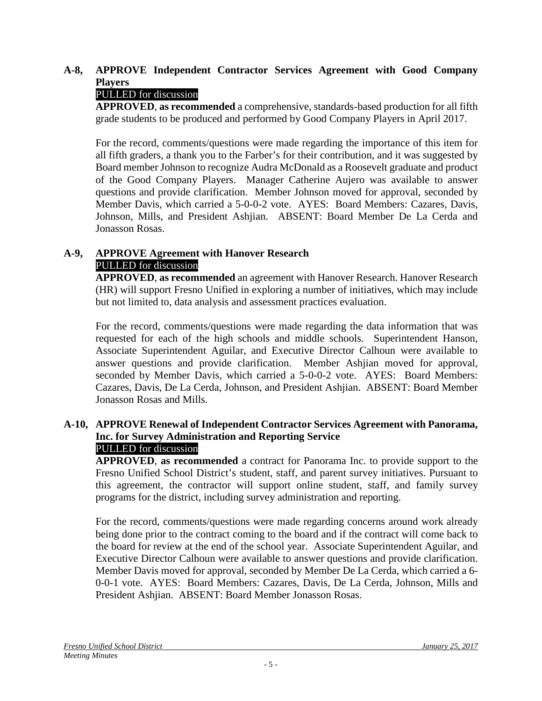# **A-8, APPROVE Independent Contractor Services Agreement with Good Company Players**

# PULLED for discussion

**APPROVED**, **as recommended** a comprehensive, standards-based production for all fifth grade students to be produced and performed by Good Company Players in April 2017.

For the record, comments/questions were made regarding the importance of this item for all fifth graders, a thank you to the Farber's for their contribution, and it was suggested by Board member Johnson to recognize Audra McDonald as a Roosevelt graduate and product of the Good Company Players. Manager Catherine Aujero was available to answer questions and provide clarification. Member Johnson moved for approval, seconded by Member Davis, which carried a 5-0-0-2 vote. AYES: Board Members: Cazares, Davis, Johnson, Mills, and President Ashjian. ABSENT: Board Member De La Cerda and Jonasson Rosas.

# **A-9, APPROVE Agreement with Hanover Research**  PULLED for discussion

**APPROVED**, **as recommended** an agreement with Hanover Research. Hanover Research (HR) will support Fresno Unified in exploring a number of initiatives, which may include but not limited to, data analysis and assessment practices evaluation.

For the record, comments/questions were made regarding the data information that was requested for each of the high schools and middle schools. Superintendent Hanson, Associate Superintendent Aguilar, and Executive Director Calhoun were available to answer questions and provide clarification. Member Ashjian moved for approval, seconded by Member Davis, which carried a 5-0-0-2 vote. AYES: Board Members: Cazares, Davis, De La Cerda, Johnson, and President Ashjian. ABSENT: Board Member Jonasson Rosas and Mills.

### **A-10, APPROVE Renewal of Independent Contractor Services Agreement with Panorama, Inc. for Survey Administration and Reporting Service** PULLED for discussion

**APPROVED**, **as recommended** a contract for Panorama Inc. to provide support to the Fresno Unified School District's student, staff, and parent survey initiatives. Pursuant to this agreement, the contractor will support online student, staff, and family survey programs for the district, including survey administration and reporting.

For the record, comments/questions were made regarding concerns around work already being done prior to the contract coming to the board and if the contract will come back to the board for review at the end of the school year. Associate Superintendent Aguilar, and Executive Director Calhoun were available to answer questions and provide clarification. Member Davis moved for approval, seconded by Member De La Cerda, which carried a 6- 0-0-1 vote. AYES: Board Members: Cazares, Davis, De La Cerda, Johnson, Mills and President Ashjian. ABSENT: Board Member Jonasson Rosas.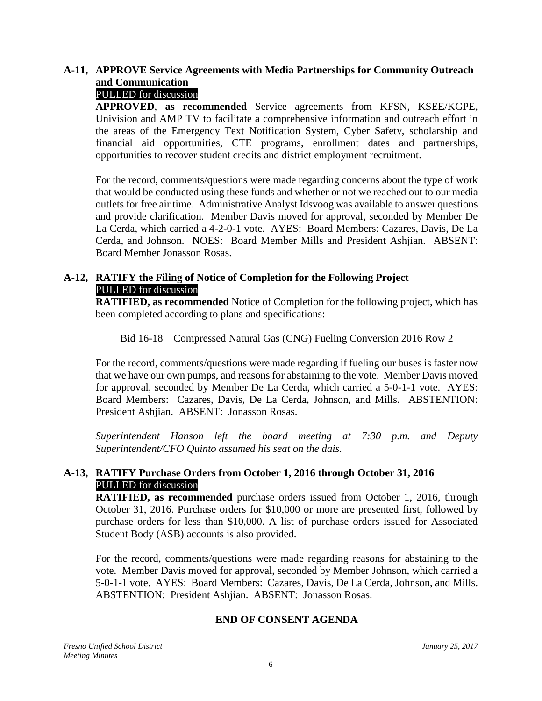# **A-11, APPROVE Service Agreements with Media Partnerships for Community Outreach and Communication**

# PULLED for discussion

**APPROVED**, **as recommended** Service agreements from KFSN, KSEE/KGPE, Univision and AMP TV to facilitate a comprehensive information and outreach effort in the areas of the Emergency Text Notification System, Cyber Safety, scholarship and financial aid opportunities, CTE programs, enrollment dates and partnerships, opportunities to recover student credits and district employment recruitment.

For the record, comments/questions were made regarding concerns about the type of work that would be conducted using these funds and whether or not we reached out to our media outlets for free air time. Administrative Analyst Idsvoog was available to answer questions and provide clarification. Member Davis moved for approval, seconded by Member De La Cerda, which carried a 4-2-0-1 vote. AYES: Board Members: Cazares, Davis, De La Cerda, and Johnson. NOES: Board Member Mills and President Ashjian. ABSENT: Board Member Jonasson Rosas.

## **A-12, RATIFY the Filing of Notice of Completion for the Following Project** PULLED for discussion

**RATIFIED, as recommended** Notice of Completion for the following project, which has been completed according to plans and specifications:

Bid 16-18 Compressed Natural Gas (CNG) Fueling Conversion 2016 Row 2

For the record, comments/questions were made regarding if fueling our buses is faster now that we have our own pumps, and reasons for abstaining to the vote. Member Davis moved for approval, seconded by Member De La Cerda, which carried a 5-0-1-1 vote. AYES: Board Members: Cazares, Davis, De La Cerda, Johnson, and Mills. ABSTENTION: President Ashjian. ABSENT: Jonasson Rosas.

*Superintendent Hanson left the board meeting at 7:30 p.m. and Deputy Superintendent/CFO Quinto assumed his seat on the dais.* 

## **A-13, RATIFY Purchase Orders from October 1, 2016 through October 31, 2016** PULLED for discussion

**RATIFIED, as recommended** purchase orders issued from October 1, 2016, through October 31, 2016. Purchase orders for \$10,000 or more are presented first, followed by purchase orders for less than \$10,000. A list of purchase orders issued for Associated Student Body (ASB) accounts is also provided.

For the record, comments/questions were made regarding reasons for abstaining to the vote. Member Davis moved for approval, seconded by Member Johnson, which carried a 5-0-1-1 vote. AYES: Board Members: Cazares, Davis, De La Cerda, Johnson, and Mills. ABSTENTION: President Ashjian. ABSENT: Jonasson Rosas.

### **END OF CONSENT AGENDA**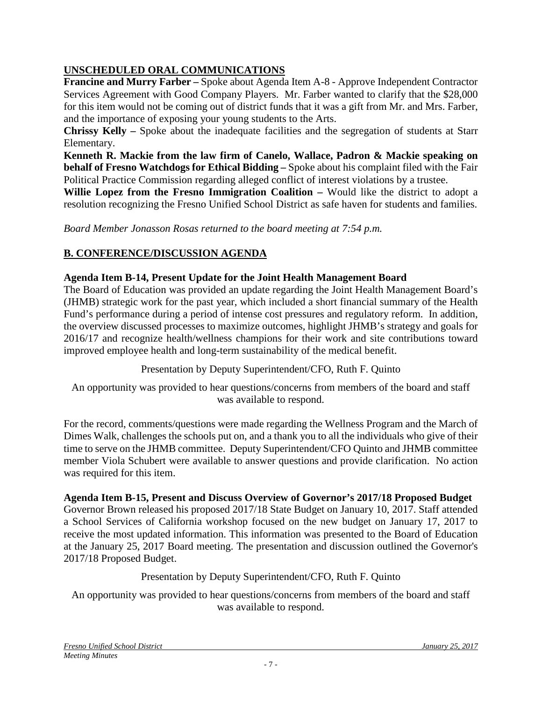# **UNSCHEDULED ORAL COMMUNICATIONS**

**Francine and Murry Farber –** Spoke about Agenda Item A-8 - Approve Independent Contractor Services Agreement with Good Company Players. Mr. Farber wanted to clarify that the \$28,000 for this item would not be coming out of district funds that it was a gift from Mr. and Mrs. Farber, and the importance of exposing your young students to the Arts.

**Chrissy Kelly –** Spoke about the inadequate facilities and the segregation of students at Starr Elementary.

**Kenneth R. Mackie from the law firm of Canelo, Wallace, Padron & Mackie speaking on behalf of Fresno Watchdogs for Ethical Bidding –** Spoke about his complaint filed with the Fair Political Practice Commission regarding alleged conflict of interest violations by a trustee.

**Willie Lopez from the Fresno Immigration Coalition –** Would like the district to adopt a resolution recognizing the Fresno Unified School District as safe haven for students and families.

*Board Member Jonasson Rosas returned to the board meeting at 7:54 p.m.*

# **B. CONFERENCE/DISCUSSION AGENDA**

# **Agenda Item B-14, Present Update for the Joint Health Management Board**

The Board of Education was provided an update regarding the Joint Health Management Board's (JHMB) strategic work for the past year, which included a short financial summary of the Health Fund's performance during a period of intense cost pressures and regulatory reform. In addition, the overview discussed processes to maximize outcomes, highlight JHMB's strategy and goals for 2016/17 and recognize health/wellness champions for their work and site contributions toward improved employee health and long-term sustainability of the medical benefit.

Presentation by Deputy Superintendent/CFO, Ruth F. Quinto

An opportunity was provided to hear questions/concerns from members of the board and staff was available to respond.

For the record, comments/questions were made regarding the Wellness Program and the March of Dimes Walk, challenges the schools put on, and a thank you to all the individuals who give of their time to serve on the JHMB committee. Deputy Superintendent/CFO Quinto and JHMB committee member Viola Schubert were available to answer questions and provide clarification. No action was required for this item.

### **Agenda Item B-15, Present and Discuss Overview of Governor's 2017/18 Proposed Budget**

Governor Brown released his proposed 2017/18 State Budget on January 10, 2017. Staff attended a School Services of California workshop focused on the new budget on January 17, 2017 to receive the most updated information. This information was presented to the Board of Education at the January 25, 2017 Board meeting. The presentation and discussion outlined the Governor's 2017/18 Proposed Budget.

# Presentation by Deputy Superintendent/CFO, Ruth F. Quinto

An opportunity was provided to hear questions/concerns from members of the board and staff was available to respond.